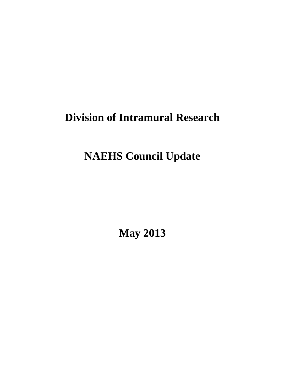# **Division of Intramural Research**

# **NAEHS Council Update**

**May 2013**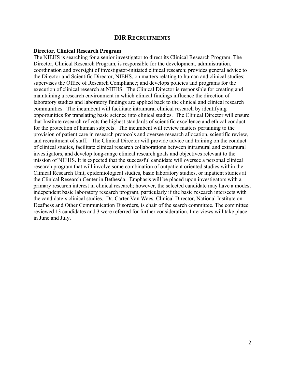## **DIR RECRUITMENTS**

#### **Director, Clinical Research Program**

The NIEHS is searching for a senior investigator to direct its Clinical Research Program. The Director, Clinical Research Program, is responsible for the development, administration, coordination and oversight of investigator-initiated clinical research; provides general advice to the Director and Scientific Director, NIEHS, on matters relating to human and clinical studies; supervises the Office of Research Compliance; and develops policies and programs for the execution of clinical research at NIEHS. The Clinical Director is responsible for creating and maintaining a research environment in which clinical findings influence the direction of laboratory studies and laboratory findings are applied back to the clinical and clinical research communities. The incumbent will facilitate intramural clinical research by identifying opportunities for translating basic science into clinical studies. The Clinical Director will ensure that Institute research reflects the highest standards of scientific excellence and ethical conduct for the protection of human subjects. The incumbent will review matters pertaining to the provision of patient care in research protocols and oversee research allocation, scientific review, and recruitment of staff. The Clinical Director will provide advice and training on the conduct of clinical studies, facilitate clinical research collaborations between intramural and extramural investigators, and develop long-range clinical research goals and objectives relevant to the mission of NIEHS. It is expected that the successful candidate will oversee a personal clinical research program that will involve some combination of outpatient oriented studies within the Clinical Research Unit, epidemiological studies, basic laboratory studies, or inpatient studies at the Clinical Research Center in Bethesda. Emphasis will be placed upon investigators with a primary research interest in clinical research; however, the selected candidate may have a modest independent basic laboratory research program, particularly if the basic research intersects with the candidate's clinical studies. Dr. Carter Van Waes, Clinical Director, National Institute on Deafness and Other Communication Disorders, is chair of the search committee. The committee reviewed 13 candidates and 3 were referred for further consideration. Interviews will take place in June and July.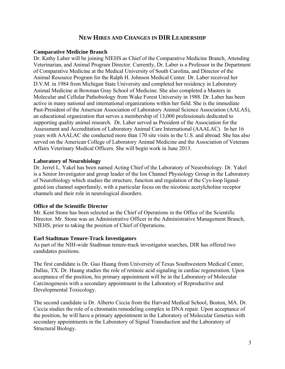## **NEW HIRES AND CHANGES IN DIR LEADERSHIP**

## **Comparative Medicine Branch**

Dr. Kathy Laber will be joining NIEHS as Chief of the Comparative Medicine Branch, Attending Veterinarian, and Animal Program Director. Currently, Dr. Laber is a Professor in the Department of Comparative Medicine at the Medical University of South Carolina, and Director of the Animal Resource Program for the Ralph H. Johnson Medical Center. Dr. Laber received her D.V.M. in 1984 from Michigan State University and completed her residency in Laboratory Animal Medicine at Bowman Gray School of Medicine. She also completed a Masters in Molecular and Cellular Pathobiology from Wake Forest University in 1988. Dr. Laber has been active in many national and international organizations within her field. She is the immediate Past-President of the American Association of Laboratory Animal Science Association (AALAS), an educational organization that serves a membership of 13,000 professionals dedicated to supporting quality animal research. Dr. Laber served as President of the Association for the Assessment and Accreditation of Laboratory Animal Care International (AAALAC). In her 16 years with AAALAC she conducted more than 170 site visits in the U.S. and abroad. She has also served on the American College of Laboratory Animal Medicine and the Association of Veterans Affairs Veterinary Medical Officers. She will begin work in June 2013.

## **Laboratory of Neurobiology**

Dr. Jerrel L. Yakel has been named Acting Chief of the Laboratory of Neurobiology. Dr. Yakel is a Senior Investigator and group leader of the Ion Channel Physiology Group in the Laboratory of Neurobiology which studies the structure, function and regulation of the Cys-loop ligandgated ion channel superfamily, with a particular focus on the nicotinic acetylcholine receptor channels and their role in neurological disorders.

## **Office of the Scientific Director**

Mr. Kent Stone has been selected as the Chief of Operations in the Office of the Scientific Director. Mr. Stone was an Administrative Officer in the Administrative Management Branch, NIEHS, prior to taking the position of Chief of Operations.

## **Earl Stadtman Tenure-Track Investigators**

As part of the NIH-wide Stadtman tenure-track investigator searches, DIR has offered two candidates positions.

The first candidate is Dr. Guo Huang from University of Texas Southwestern Medical Center, Dallas, TX. Dr. Huang studies the role of retinoic acid signaling in cardiac regeneration. Upon acceptance of the position, his primary appointment will be in the Laboratory of Molecular Carcinogenesis with a secondary appointment in the Laboratory of Reproductive and Developmental Toxicology.

The second candidate is Dr. Alberto Ciccia from the Harvard Medical School, Boston, MA. Dr. Ciccia studies the role of a chromatin remodeling complex in DNA repair. Upon acceptance of the position, he will have a primary appointment in the Laboratory of Molecular Genetics with secondary appointments in the Laboratory of Signal Transduction and the Laboratory of Structural Biology.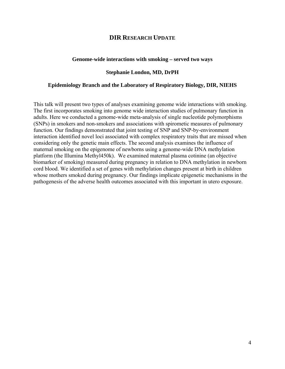## **DIR RESEARCH UPDATE**

#### **Genome-wide interactions with smoking – served two ways**

### **Stephanie London, MD, DrPH**

#### **Epidemiology Branch and the Laboratory of Respiratory Biology, DIR, NIEHS**

This talk will present two types of analyses examining genome wide interactions with smoking. The first incorporates smoking into genome wide interaction studies of pulmonary function in adults. Here we conducted a genome-wide meta-analysis of single nucleotide polymorphisms (SNPs) in smokers and non-smokers and associations with spirometic measures of pulmonary function. Our findings demonstrated that joint testing of SNP and SNP-by-environment interaction identified novel loci associated with complex respiratory traits that are missed when considering only the genetic main effects. The second analysis examines the influence of maternal smoking on the epigenome of newborns using a genome-wide DNA methylation platform (the Illumina Methyl450k). We examined maternal plasma cotinine (an objective biomarker of smoking) measured during pregnancy in relation to DNA methylation in newborn cord blood. We identified a set of genes with methylation changes present at birth in children whose mothers smoked during pregnancy. Our findings implicate epigenetic mechanisms in the pathogenesis of the adverse health outcomes associated with this important in utero exposure.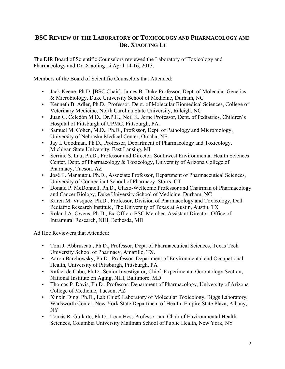## **BSC REVIEW OF THE LABORATORY OF TOXICOLOGY AND PHARMACOLOGY AND DR. XIAOLING LI**

The DIR Board of Scientific Counselors reviewed the Laboratory of Toxicology and Pharmacology and Dr. Xiaoling Li April 14-16, 2013.

Members of the Board of Scientific Counselors that Attended:

- Jack Keene, Ph.D. [BSC Chair], James B. Duke Professor, Dept. of Molecular Genetics & Microbiology, Duke University School of Medicine, Durham, NC
- Kenneth B. Adler, Ph.D., Professor, Dept. of Molecular Biomedical Sciences, College of Veterinary Medicine, North Carolina State University, Raleigh, NC
- • Juan C. Celedón M.D., Dr.P.H., Neil K. Jerne Professor, Dept. of Pediatrics, Children's Hospital of Pittsburgh of UPMC, Pittsburgh, PA.
- Samuel M. Cohen, M.D., Ph.D., Professor, Dept. of Pathology and Microbiology, University of Nebraska Medical Center, Omaha, NE
- • Jay I. Goodman, Ph.D., Professor, Department of Pharmacology and Toxicology, Michigan State University, East Lansing, MI
- • Serrine S. Lau, Ph.D., Professor and Director, Southwest Environmental Health Sciences Center, Dept. of Pharmacology & Toxicology, University of Arizona College of Pharmacy, Tucson, AZ
- José E. Manautou, Ph.D., Associate Professor, Department of Pharmaceutical Sciences, University of Connecticut School of Pharmacy, Storrs, CT
- Donald P. McDonnell, Ph.D., Glaxo-Wellcome Professor and Chairman of Pharmacology and Cancer Biology, Duke University School of Medicine, Durham, NC
- Karen M. Vasquez, Ph.D., Professor, Division of Pharmacology and Toxicology, Dell Pediatric Research Institute, The University of Texas at Austin, Austin, TX
- • Roland A. Owens, Ph.D., Ex-Officio BSC Member, Assistant Director, Office of Intramural Research, NIH, Bethesda, MD

Ad Hoc Reviewers that Attended:

- • Tom J. Abbruscata, Ph.D., Professor, Dept. of Pharmaceutical Sciences, Texas Tech University School of Pharmacy, Amarillo, TX.
- Aaron Barchowsky, Ph.D., Professor, Department of Environmental and Occupational Health, University of Pittsburgh, Pittsburgh, PA
- Rafael de Cabo, Ph.D., Senior Investigator, Chief, Experimental Gerontology Section, National Institute on Aging, NIH, Baltimore, MD
- Thomas P. Davis, Ph.D., Professor, Department of Pharmacology, University of Arizona College of Medicine, Tucson, AZ
- Xinxin Ding, Ph.D., Lab Chief, Laboratory of Molecular Toxicology, Biggs Laboratory, Wadsworth Center, New York State Department of Health, Empire State Plaza, Albany, NY
- • Tomás R. Guilarte, Ph.D., Leon Hess Professor and Chair of Environmental Health Sciences, Columbia University Mailman School of Public Health, New York, NY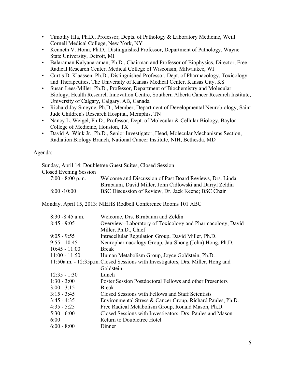- Timothy Hla, Ph.D., Professor, Depts. of Pathology & Laboratory Medicine, Weill Cornell Medical College, New York, NY
- Kenneth V. Honn, Ph.D., Distinguished Professor, Department of Pathology, Wayne State University, Detroit, MI
- Balaraman Kalyanaraman, Ph.D., Chairman and Professor of Biophysics, Director, Free Radical Research Center, Medical College of Wisconsin, Milwaukee, WI
- Curtis D. Klaassen, Ph.D., Distinguished Professor, Dept. of Pharmacology, Toxicology and Therapeutics, The University of Kansas Medical Center, Kansas City, KS
- Susan Lees-Miller, Ph.D., Professor, Department of Biochemistry and Molecular Biology, Health Research Innovation Centre, Southern Alberta Cancer Research Institute, University of Calgary, Calgary, AB, Canada
- Richard Jay Smeyne, Ph.D., Member, Department of Developmental Neurobiology, Saint Jude Children's Research Hospital, Memphis, TN
- Nancy L. Weigel, Ph.D., Professor, Dept. of Molecular & Cellular Biology, Baylor College of Medicine, Houston, TX
- David A. Wink Jr., Ph.D., Senior Investigator, Head, Molecular Mechanisms Section, Radiation Biology Branch, National Cancer Institute, NIH, Bethesda, MD

Agenda:

Sunday, April 14: Doubletree Guest Suites, Closed Session Closed Evening Session 7:00 - 8:00 p.m. Welcome and Discussion of Past Board Reviews, Drs. Linda Birnbaum, David Miller, John Cidlowski and Darryl Zeldin 8:00 -10:00 BSC Discussion of Review, Dr. Jack Keene; BSC Chair

Monday, April 15, 2013: NIEHS Rodbell Conference Rooms 101 ABC

| $8:30 - 8:45$ a.m. | Welcome, Drs. Birnbaum and Zeldin                                               |
|--------------------|---------------------------------------------------------------------------------|
| $8:45 - 9:05$      | Overview--Laboratory of Toxicology and Pharmacology, David                      |
|                    | Miller, Ph.D., Chief                                                            |
| $9:05 - 9:55$      | Intracellular Regulation Group, David Miller, Ph.D.                             |
| $9:55 - 10:45$     | Neuropharmacology Group, Jau-Shong (John) Hong, Ph.D.                           |
| $10:45 - 11:00$    | <b>Break</b>                                                                    |
| $11:00 - 11:50$    | Human Metabolism Group, Joyce Goldstein, Ph.D.                                  |
|                    | 11:50a.m. - 12:35p.m. Closed Sessions with Investigators, Drs. Miller, Hong and |
|                    | Goldstein                                                                       |
| $12:35 - 1:30$     | Lunch                                                                           |
| $1:30 - 3:00$      | Poster Session Postdoctoral Fellows and other Presenters                        |
| $3:00 - 3:15$      | <b>Break</b>                                                                    |
| $3:15 - 3:45$      | Closed Sessions with Fellows and Staff Scientists                               |
| $3:45 - 4:35$      | Environmental Stress & Cancer Group, Richard Paules, Ph.D.                      |
| $4:35 - 5:25$      | Free Radical Metabolism Group, Ronald Mason, Ph.D.                              |
| $5:30 - 6:00$      | Closed Sessions with Investigators, Drs. Paules and Mason                       |
| 6:00               | Return to Doubletree Hotel                                                      |
| $6:00 - 8:00$      | Dinner                                                                          |
|                    |                                                                                 |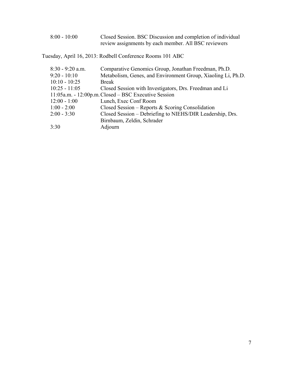| $8:00 - 10:00$ | Closed Session. BSC Discussion and completion of individual |
|----------------|-------------------------------------------------------------|
|                | review assignments by each member. All BSC reviewers        |

Tuesday, April 16, 2013: Rodbell Conference Rooms 101 ABC

| $8:30 - 9:20$ a.m. | Comparative Genomics Group, Jonathan Freedman, Ph.D.         |
|--------------------|--------------------------------------------------------------|
| $9:20 - 10:10$     | Metabolism, Genes, and Environment Group, Xiaoling Li, Ph.D. |
| $10:10 - 10:25$    | <b>Break</b>                                                 |
| $10:25 - 11:05$    | Closed Session with Investigators, Drs. Freedman and Li      |
|                    | 11:05a.m. - 12:00p.m. Closed – BSC Executive Session         |
| $12:00 - 1:00$     | Lunch, Exec Conf Room                                        |
| $1:00 - 2:00$      | Closed Session – Reports & Scoring Consolidation             |
| $2:00 - 3:30$      | Closed Session - Debriefing to NIEHS/DIR Leadership, Drs.    |
|                    | Birnbaum, Zeldin, Schrader                                   |
| 3:30               | Adjourn                                                      |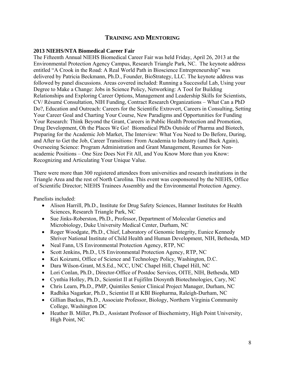## **TRAINING AND MENTORING**

## **2013 NIEHS/NTA Biomedical Career Fair**

The Fifteenth Annual NIEHS Biomedical Career Fair was held Friday, April 26, 2013 at the Environmental Protection Agency Campus, Research Triangle Park, NC. The keynote address entitled "A Crook in the Road: A Real World Path in Bioscience Entrepreneurship" was delivered by Patricia Beckmann, Ph.D., Founder, BioStrategy, LLC. The keynote address was followed by panel discussions. Areas covered included: Running a Successful Lab, Using your Degree to Make a Change: Jobs in Science Policy, Networking: A Tool for Building Relationships and Exploring Career Options, Management and Leadership Skills for Scientists, CV/ Résumé Consultation, NIH Funding, Contract Research Organizations – What Can a PhD Do?, Education and Outreach: Careers for the Scientific Extrovert, Careers in Consulting, Setting Your Career Goal and Charting Your Course, New Paradigms and Opportunities for Funding Your Research: Think Beyond the Grant, Careers in Public Health Protection and Promotion, Drug Development, Oh the Places We Go! Biomedical PhDs Outside of Pharma and Biotech, Preparing for the Academic Job Market, The Interview: What You Need to Do Before, During, and After to Get the Job, Career Transitions: From Academia to Industry (and Back Again), Overseeing Science: Program Administration and Grant Management, Resumes for Nonacademic Positions – One Size Does Not Fit All, and You Know More than you Know: Recognizing and Articulating Your Unique Value.

There were more than 300 registered attendees from universities and research institutions in the Triangle Area and the rest of North Carolina. This event was cosponsored by the NIEHS, Office of Scientific Director; NIEHS Trainees Assembly and the Environmental Protection Agency.

Panelists included:

- Alison Harrill, Ph.D., Institute for Drug Safety Sciences, Hamner Institutes for Health Sciences, Research Triangle Park, NC
- Sue Jinks-Roberston, Ph.D., Professor, Department of Molecular Genetics and Microbiology, Duke University Medical Center, Durham, NC
- Roger Woodgate, Ph.D., Chief, Laboratory of Genomic Integrity, Eunice Kennedy Shriver National Institute of Child Health and Human Development, NIH, Bethesda, MD
- Neal Fann, US Environmental Protection Agency, RTP, NC
- Scott Jenkins, Ph.D., US Environmental Protection Agency, RTP, NC
- Kei Koizumi, Office of Science and Technology Policy, Washington, D.C.
- Dara Wilson-Grant, M.S.Ed., NCC, UNC Chapel Hill, Chapel Hill, NC
- Lori Conlan, Ph.D., Director-Office of Postdoc Services, OITE, NIH, Bethesda, MD
- Cynthia Holley, Ph.D., Scientist II at Fujifilm Diosynth Biotechnologies, Cary, NC
- Chris Learn, Ph.D., PMP, Quintiles Senior Clinical Project Manager, Durham, NC
- Radhika Nagarkar, Ph.D., Scientist II at KBI Biopharma, Raleigh-Durham, NC
- Gillian Backus, Ph.D., Associate Professor, Biology, Northern Virginia Community College, Washington DC
- Heather B. Miller, Ph.D., Assistant Professor of Biochemistry, High Point University, High Point, NC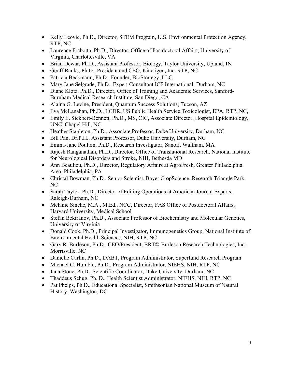- Kelly Leovic, Ph.D., Director, STEM Program, U.S. Environmental Protection Agency, RTP, NC
- Laurence Frabotta, Ph.D., Director, Office of Postdoctoral Affairs, University of Virginia, Charlottesville, VA
- Brian Dewar, Ph.D., Assistant Professor, Biology, Taylor University, Upland, IN
- Geoff Banks, Ph.D., President and CEO, Kinetigen, Inc. RTP, NC
- Patricia Beckmann, Ph.D., Founder, BioStrategy, LLC.
- Mary Jane Selgrade, Ph.D., Expert Consultant ICF International, Durham, NC
- Diane Klotz, Ph.D., Director, Office of Training and Academic Services, Sanford-Burnham Medical Research Institute, San Diego, CA
- Alaina G. Levine, President, Quantum Success Solutions, Tucson, AZ
- Eva McLanahan, Ph.D., LCDR, US Public Health Service Toxicologist, EPA, RTP, NC,
- Emily E. Sickbert-Bennett, Ph.D., MS, CIC, Associate Director, Hospital Epidemiology, UNC, Chapel Hill, NC
- Heather Stapleton, Ph.D., Associate Professor, Duke University, Durham, NC
- Bill Pan, Dr.P.H., Assistant Professor, Duke University, Durham, NC
- Emma-Jane Poulton, Ph.D., Research Investigator, Sanofi, Waltham, MA
- Rajesh Ranganathan, Ph.D., Director, Office of Translational Research, National Institute for Neurological Disorders and Stroke, NIH, Bethesda MD
- Ann Beaulieu, Ph.D., Director, Regulatory Affairs at AgroFresh, Greater Philadelphia Area, Philadelphia, PA
- Christal Bowman, Ph.D., Senior Scientist, Bayer CropScience, Research Triangle Park, NC
- Sarah Taylor, Ph.D., Director of Editing Operations at American Journal Experts, Raleigh-Durham, NC
- Melanie Sinche, M.A., M.Ed., NCC, Director, FAS Office of Postdoctoral Affairs, Harvard University, Medical School
- Stefan Bekiranov, Ph.D., Associate Professor of Biochemistry and Molecular Genetics, University of Virginia
- Donald Cook, Ph.D., Principal Investigator, Immunogenetics Group, National Institute of Environmental Health Sciences, NIH, RTP, NC
- Gary R. Burleson, Ph.D., CEO/President, BRT©-Burleson Research Technologies, Inc., Morrisville, NC
- Danielle Carlin, Ph.D., DABT, Program Administrator, Superfund Research Program
- Michael C. Humble, Ph.D., Program Administrator, NIEHS, NIH, RTP, NC
- Jana Stone, Ph.D., Scientific Coordinator, Duke University, Durham, NC
- Thaddeus Schug, Ph. D., Health Scientist Administrator, NIEHS, NIH, RTP, NC
- Pat Phelps, Ph.D., Educational Specialist, Smithsonian National Museum of Natural History, Washington, DC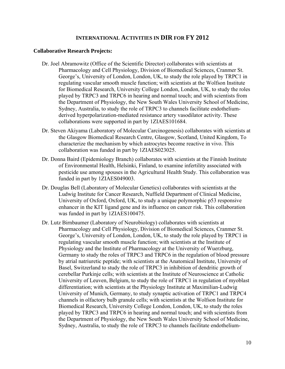## **INTERNATIONAL ACTIVITIES IN DIR FOR FY 2012**

#### **Collaborative Research Projects:**

- Dr. Joel Abramowitz (Office of the Scientific Director) collaborates with scientists at Pharmacology and Cell Physiology, Division of Biomedical Sciences, Cranmer St. George's, University of London, London, UK, to study the role played by TRPC1 in regulating vascular smooth muscle function; with scientists at the Wolfson Institute for Biomedical Research, University College London, London, UK, to study the roles played by TRPC3 and TRPC6 in hearing and normal touch; and with scientists from the Department of Physiology, the New South Wales University School of Medicine, Sydney, Australia, to study the role of TRPC3 to channels facilitate endotheliumderived hyperpolarization-mediated resistance artery vasodilator activity. These collaborations were supported in part by 1ZIAES101684.
- Dr. Steven Akiyama (Laboratory of Molecular Carcinogenesis) collaborates with scientists at the Glasgow Biomedical Research Centre, Glasgow, Scotland, United Kingdom, To characterize the mechanism by which astrocytes become reactive in vivo. This collaboration was funded in part by 1ZIAES023025.
- Dr. Donna Baird (Epidemiology Branch) collaborates with scientists at the Finnish Institute of Environmental Health, Helsinki, Finland, to examine infertility associated with pesticide use among spouses in the Agricultural Health Study. This collaboration was funded in part by 1ZIAES049003.
- Dr. Douglas Bell (Laboratory of Molecular Genetics) collaborates with scientists at the Ludwig Institute for Cancer Research, Nuffield Department of Clinical Medicine, University of Oxford, Oxford, UK, to study a unique polymorphic p53 responsive enhancer in the KIT ligand gene and its influence on cancer risk. This collaboration was funded in part by 1ZIAES100475.
- Dr. Lutz Birnbaumer (Laboratory of Neurobiology) collaborates with scientists at Pharmacology and Cell Physiology, Division of Biomedical Sciences, Cranmer St. George's, University of London, London, UK, to study the role played by TRPC1 in regulating vascular smooth muscle function; with scientists at the Institute of Physiology and the Institute of Pharmacology at the University of Wuerzburg, Germany to study the roles of TRPC3 and TRPC6 in the regulation of blood pressure by atrial natriuretic peptide; with scientists at the Anatomical Institute, University of Basel, Switzerland to study the role of TRPC3 in inhibition of dendritic growth of cerebellar Purkinje cells; with scientists at the Institute of Neuroscience at Catholic University of Leuven, Belgium, to study the role of TRPC1 in regulation of myoblast differentiation; with scientists at the Physiology Institute at Maximilian-Ludwig University of Munich, Germany, to study synaptic activation of TRPC1 and TRPC4 channels in olfactory bulb granule cells; with scientists at the Wolfson Institute for Biomedical Research, University College London, London, UK, to study the roles played by TRPC3 and TRPC6 in hearing and normal touch; and with scientists from the Department of Physiology, the New South Wales University School of Medicine, Sydney, Australia, to study the role of TRPC3 to channels facilitate endothelium-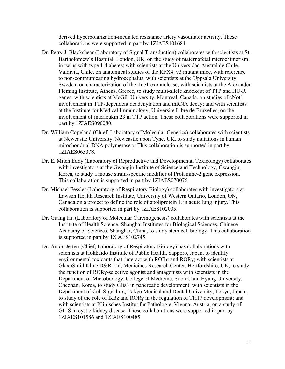derived hyperpolarization-mediated resistance artery vasodilator activity. These collaborations were supported in part by 1ZIAES101684.

- Dr. Perry J. Blackshear (Laboratory of Signal Transduction) collaborates with scientists at St. Bartholomew's Hospital, London, UK, on the study of maternofetal microchimerism in twins with type 1 diabetes; with scientists at the Universidad Austral de Chile, Valdivia, Chile, on anatomical studies of the RFX4\_v3 mutant mice, with reference to non-communicating hydrocephalus; with scientists at the Uppsala University, Sweden, on characterization of the Toe1 exonuclease; with scientists at the Alexander Fleming Institute, Athens, Greece, to study multi-allele knockout of TTP and HU-R genes; with scientists at McGill University, Montreal, Canada, on studies of cNot1 involvement in TTP-dependent deadenylation and mRNA decay; and with scientists at the Institute for Medical Immunology, Universite Libre de Bruxelles, on the involvement of interleukin 23 in TTP action. These collaborations were supported in part by 1ZIAES090080.
- Dr. William Copeland (Chief, Laboratory of Molecular Genetics) collaborates with scientists at Newcastle University, Newcastle upon Tyne, UK, to study mutations in human mitochondrial DNA polymerase γ. This collaboration is supported in part by 1ZIAES065078.
- Dr. E. Mitch Eddy (Laboratory of Reproductive and Developmental Toxicology) collaborates with investigators at the Gwangju Institute of Science and Technology, Gwangju, Korea, to study a mouse strain-specific modifier of Protamine-2 gene expression. This collaboration is supported in part by 1ZIAES070076.
- Dr. Michael Fessler (Laboratory of Respiratory Biology) collaborates with investigators at Lawson Health Research Institute, University of Western Ontario, London, ON, Canada on a project to define the role of apoliprotein E in acute lung injury. This collaboration is supported in part by 1ZIAES102005.
- Dr. Guang Hu (Laboratory of Molecular Carcinogenesis) collaborates with scientists at the Institute of Health Science, Shanghai Institutes for Biological Sciences, Chinese Academy of Sciences, Shanghai, China, to study stem cell biology. This collaboration is supported in part by 1ZIAES102745.
- Dr. Anton Jetten (Chief, Laboratory of Respiratory Biology) has collaborations with scientists at Hokkaido Institute of Public Health, Sapporo, Japan, to identify environmental toxicants that interact with RORα and RORγ; with scientists at GlaxoSmithKline D&R Ltd, Medicines Research Center, Hertfordshire, UK, to study the function of RORγ-selective agonist and antagonists with scientists in the Department of Microbiology, College of Medicine, Soon Chun Hyang University, Cheonan, Korea, to study Glis3 in pancreatic development; with scientists in the Department of Cell Signaling, Tokyo Medical and Dental University, Tokyo, Japan, to study of the role of IkBz and RORγ in the regulation of TH17 development; and with scientists at Klinisches Institut für Pathologie, Vienna, Austria, on a study of GLIS in cystic kidney disease. These collaborations were supported in part by 1ZIAES101586 and 1ZIAES100485.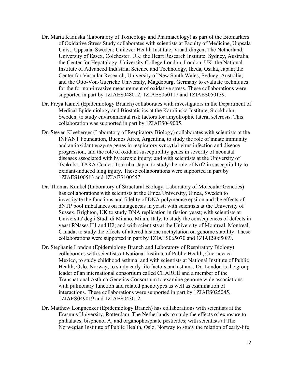- Dr. Maria Kadiiska (Laboratory of Toxicology and Pharmacology) as part of the Biomarkers of Oxidative Stress Study collaborates with scientists at Faculty of Medicine, Uppsala Univ., Uppsala, Sweden; Unilever Health Institute, Vlaadrdingen, The Netherland; University of Essex, Colchester, UK; the Heart Research Institute, Sydney, Australia; the Center for Hepatology, University College London, London, UK; the National Institute of Advanced Industrial Science and Technology, Ikeda, Osaka, Japan; the Center for Vascular Research, University of New South Wales, Sydney, Australia; and the Otto-Von-Guericke University, Magdeburg, Germany to evaluate techniques for the for non-invasive measurement of oxidative stress. These collaborations were supported in part by 1ZIAES048012, 1ZIAES050117 and 1ZIAES050139.
- Dr. Freya Kamel (Epidemiology Branch) collaborates with investigators in the Department of Medical Epidemiology and Biostatistics at the Karolinska Institute, Stockholm, Sweden, to study environmental risk factors for amyotrophic lateral sclerosis. This collaboration was supported in part by 1ZIAES049005.
- Dr. Steven Kleeberger (Laboratory of Respiratory Biology) collaborates with scientists at the INFANT Foundation, Buenos Aires, Argentina, to study the role of innate immunity and antioxidant enzyme genes in respiratory syncytial virus infection and disease progression, and the role of oxidant susceptibility genes in severity of neonatal diseases associated with hyperoxic injury; and with scientists at the University of Tsukuba, TARA Center, Tsukuba, Japan to study the role of Nrf2 in susceptibility to oxidant-induced lung injury. These collaborations were supported in part by 1ZIAES100513 and 1ZIAES100557.
- Dr. Thomas Kunkel (Laboratory of Structural Biology, Laboratory of Molecular Genetics) has collaborations with scientists at the Umeå University, Umeå, Sweden to investigate the functions and fidelity of DNA polymerase epsilon and the effects of dNTP pool imbalances on mutagenesis in yeast; with scientists at the University of Sussex, Brighton, UK to study DNA replication in fission yeast; with scientists at Universita' degli Studi di Milano, Milan, Italy, to study the consequences of defects in yeast RNases H1 and H2; and with scientists at the University of Montreal, Montreal, Canada, to study the effects of altered histone methylation on genome stability. These collaborations were supported in part by 1ZIAES065070 and 1ZIAES065089.
- Dr. Stephanie London (Epidemiology Branch and Laboratory of Respiratory Biology) collaborates with scientists at National Institute of Public Health, Cuernevaca Mexico, to study childhood asthma; and with scientists at National Institute of Public Health, Oslo, Norway, to study early life factors and asthma. Dr. London is the group leader of an international consortium called CHARGE and a member of the Transnational Asthma Genetics Consortium to examine genome wide associations with pulmonary function and related phenotypes as well as examination of interactions. These collaborations were supported in part by 1ZIAES025045, 1ZIAES049019 and 1ZIAES043012.
- Dr. Matthew Longnecker (Epidemiology Branch) has collaborations with scientists at the Erasmus University, Rotterdam, The Netherlands to study the effects of exposure to phthalates, bisphenol A, and organophosphate pesticides; with scientists at The Norwegian Institute of Public Health, Oslo, Norway to study the relation of early-life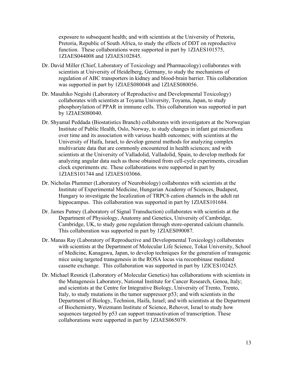exposure to subsequent health; and with scientists at the University of Pretoria, Pretoria, Republic of South Africa, to study the effects of DDT on reproductive function. These collaborations were supported in part by 1ZIAES101575, 1ZIAES044008 and 1ZIAES102845.

- Dr. David Miller (Chief, Laboratory of Toxicology and Pharmacology) collaborates with scientists at University of Heidelberg, Germany, to study the mechanisms of regulation of ABC transporters in kidney and blood-brain barrier. This collaboration was supported in part by 1ZIAES080048 and 1ZIAES080056.
- Dr. Masahiko Negishi (Laboratory of Reproductive and Developmental Toxicology) collaborates with scientists at Toyama University, Toyama, Japan, to study phosphorylation of PPAR in immune cells. This collaboration was supported in part by 1ZIAES080040.
- Dr. Shyamal Peddada (Biostatistics Branch) collaborates with investigators at the Norwegian Institute of Public Health, Oslo, Norway, to study changes in infant gut microflora over time and its association with various health outcomes; with scientists at the University of Haifa, Israel, to develop general methods for analyzing complex multivariate data that are commonly encountered in health sciences; and with scientists at the University of Valladolid, Valladolid, Spain, to develop methods for analyzing angular data such as those obtained from cell-cycle experiments, circadian clock experiments etc. These collaborations were supported in part by 1ZIAES101744 and 1ZIAES103066.
- Dr. Nicholas Plummer (Laboratory of Neurobiology) collaborates with scientists at the Institute of Experimental Medicine, Hungarian Academy of Sciences, Budapest, Hungary to investigate the localization of TRPC6 cation channels in the adult rat hippocampus. This collaboration was supported in part by 1ZIAES101684.
- Dr. James Putney (Laboratory of Signal Transduction) collaborates with scientists at the Department of Physiology, Anatomy and Genetics, University of Cambridge, Cambridge, UK, to study gene regulation through store-operated calcium channels. This collaboration was supported in part by 1ZIAES090087.
- Dr. Manas Ray (Laboratory of Reproductive and Developmental Toxicology) collaborates with scientists at the Department of Molecular Life Science, Tokai University, School of Medicine, Kanagawa, Japan, to develop techniques for the generation of transgenic mice using targeted transgenesis in the ROSA locus via recombinase mediated cassette exchange. This collaboration was supported in part by 1ZICES102425.
- Dr. Michael Resnick (Laboratory of Molecular Genetics) has collaborations with scientists in the Mutagenesis Laboratory, National Institute for Cancer Research, Genoa, Italy; and scientists at the Centre for Integrative Biology, University of Trento, Trento, Italy, to study mutations in the tumor suppressor p53; and with scientists in the Department of Biology, Technion, Haifa, Israel; and with scientists at the Department of Biochemistry, Weizmann Institute of Science, Rehovot, Israel to study how sequences targeted by p53 can support transactivation of transcription. These collaborations were supported in part by 1ZIAES065079.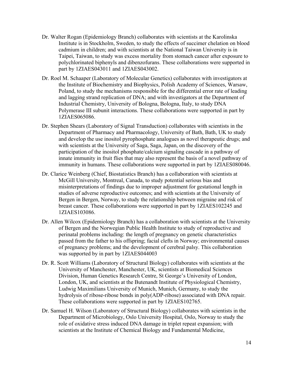- Dr. Walter Rogan (Epidemiology Branch) collaborates with scientists at the Karolinska Institute is in Stockholm, Sweden, to study the effects of succimer chelation on blood cadmium in children; and with scientists at the National Taiwan University is in Taipei, Taiwan, to study was excess mortality from stomach cancer after exposure to polychlorinated biphenyls and dibenzofurans. These collaborations were supported in part by 1ZIAES043011 and 1ZIAES043002.
- Dr. Roel M. Schaaper (Laboratory of Molecular Genetics) collaborates with investigators at the Institute of Biochemistry and Biophysics, Polish Academy of Sciences, Warsaw, Poland, to study the mechanisms responsible for the differential error rate of leading and lagging strand replication of DNA; and with investigators at the Department of Industrial Chemistry, University of Bologna, Bologna, Italy, to study DNA Polymerase III subunit interactions. These collaborations were supported in part by 1ZIAES065086.
- Dr. Stephen Shears (Laboratory of Signal Transduction) collaborates with scientists in the Department of Pharmacy and Pharmacology, University of Bath, Bath, UK to study and develop the use inositol pyrophosphate analogues as novel therapeutic drugs; and with scientists at the University of Saga, Saga, Japan, on the discovery of the participation of the inositol phosphate/calcium signaling cascade in a pathway of innate immunity in fruit flies that may also represent the basis of a novel pathway of immunity in humans. These collaborations were supported in part by 1ZIAES080046.
- Dr. Clarice Weinberg (Chief, Biostatistics Branch) has a collaboration with scientists at McGill University, Montreal, Canada, to study potential serious bias and misinterpretations of findings due to improper adjustment for gestational length in studies of adverse reproductive outcomes; and with scientists at the University of Bergen in Bergen, Norway, to study the relationship between migraine and risk of breast cancer. These collaborations were supported in part by 1ZIAES102245 and 1ZIAES103086.
- Dr. Allen Wilcox (Epidemiology Branch) has a collaboration with scientists at the University of Bergen and the Norwegian Public Health Institute to study of reproductive and perinatal problems including: the length of pregnancy on genetic characteristics passed from the father to his offspring; facial clefts in Norway; environmental causes of pregnancy problems; and the development of cerebral palsy. This collaboration was supported by in part by 1ZIAES044003
- Dr. R. Scott Williams (Laboratory of Structural Biology) collaborates with scientists at the University of Manchester, Manchester, UK, scientists at Biomedical Sciences Division, Human Genetics Research Centre, St George's University of London, London, UK, and scientists at the Butenandt Institute of Physiological Chemistry, Ludwig Maximilians University of Munich, Munich, Germany, to study the hydrolysis of ribose-ribose bonds in poly(ADP-ribose) associated with DNA repair. These collaborations were supported in part by 1ZIAES102765.
- Dr. Samuel H. Wilson (Laboratory of Structural Biology) collaborates with scientists in the Department of Microbiology, Oslo University Hospital, Oslo, Norway to study the role of oxidative stress induced DNA damage in triplet repeat expansion; with scientists at the Institute of Chemical Biology and Fundamental Medicine,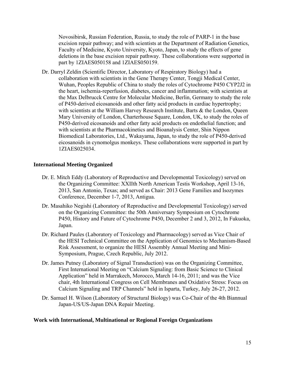Novosibirsk, Russian Federation, Russia, to study the role of PARP-1 in the base excision repair pathway; and with scientists at the Department of Radiation Genetics, Faculty of Medicine, Kyoto University, Kyoto, Japan, to study the effects of gene deletions in the base excision repair pathway. These collaborations were supported in part by 1ZIAES050158 and 1ZIAES050159.

Dr. Darryl Zeldin (Scientific Director, Laboratory of Respiratory Biology) had a collaboration with scientists in the Gene Therapy Center, Tongji Medical Center, Wuhan, Peoples Republic of China to study the roles of Cytochrome P450 CYP2J2 in the heart, ischemia-reperfusion, diabetes, cancer and inflammation; with scientists at the Max Delbrucck Centre for Molecular Medicine, Berlin, Germany to study the role of P450-derived eicosanoids and other fatty acid products in cardiac hypertrophy; with scientists at the William Harvey Research Institute, Barts & the London, Queen Mary University of London, Charterhouse Square, London, UK, to study the roles of P450-derived eicosanoids and other fatty acid products on endothelial function; and with scientists at the Pharmacokinetics and Bioanalysis Center, Shin Nippon Biomedical Laboratories, Ltd., Wakayama, Japan, to study the role of P450-derived eicosanoids in cynomolgus monkeys. These collaborations were supported in part by 1ZIAES025034.

#### **International Meeting Organized**

- Dr. E. Mitch Eddy (Laboratory of Reproductive and Developmental Toxicology) served on the Organizing Committee: XXIIth North American Testis Workshop, April 13-16, 2013, San Antonio, Texas; and served as Chair: 2013 Gene Families and Isozymes Conference, December 1-7, 2013, Antigua.
- Dr. Masahiko Negishi (Laboratory of Reproductive and Developmental Toxicology) served on the Organizing Committee: the 50th Anniversary Symposium on Cytochrome P450, History and Future of Cytochrome P450, December 2 and 3, 2012, In Fukuoka, Japan.
- Dr. Richard Paules (Laboratory of Toxicology and Pharmacology) served as Vice Chair of the HESI Technical Committee on the Application of Genomics to Mechanism-Based Risk Assessment, to organize the HESI Assembly Annual Meeting and Mini-Symposium, Prague, Czech Republic, July 2012.
- Dr. James Putney (Laboratory of Signal Transduction) was on the Organizing Committee, First International Meeting on "Calcium Signaling: from Basic Science to Clinical Application" held in Marrakech, Morocco, March 14-16, 2011; and was the Vice chair, 4th International Congress on Cell Membranes and Oxidative Stress: Focus on Calcium Signaling and TRP Channels" held in Isparta, Turkey, July 26-27, 2012.
- Dr. Samuel H. Wilson (Laboratory of Structural Biology) was Co-Chair of the 4th Biannual Japan-US/US-Japan DNA Repair Meeting.

## **Work with International, Multinational or Regional Foreign Organizations**